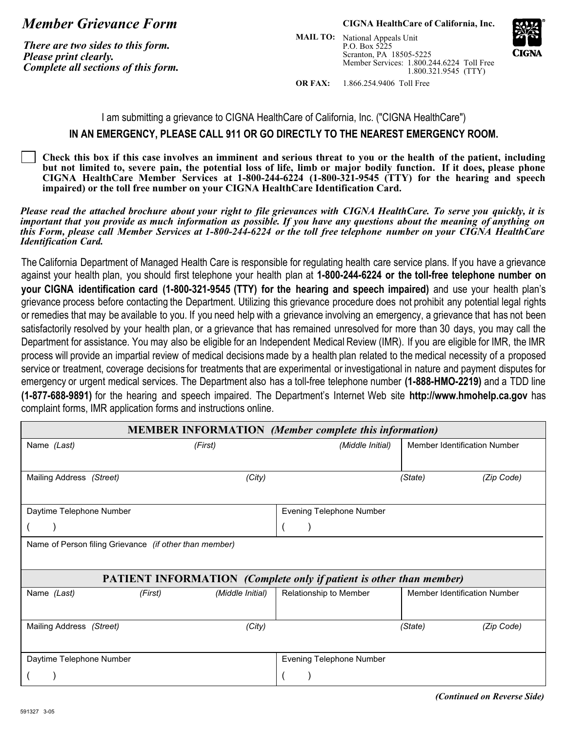## *Member Grievance Form*

*There are two sides to this form. Please print clearly. Complete all sections of this form.*

## **CIGNA HealthCare of California, Inc.**

Member Services: 1.800.244.6224 Toll Free 1.800.321.9545 (TTY) **MAIL TO:** National Appeals Unit P.O. Box 5225 Scranton, PA 18505-5225



**OR FAX:** 1.866.254.9406 Toll Free

I am submitting a grievance to CIGNA HealthCare of California, Inc. ("CIGNA HealthCare")

## **IN AN EMERGENCY, PLEASE CALL 911 OR GO DIRECTLY TO THE NEAREST EMERGENCY ROOM.**

**Check this box if this case involves an imminent and serious threat to you or the health of the patient, including but not limited to, severe pain, the potential loss of life, limb or major bodily function. If it does, please phone CIGNA HealthCare Member Services at 1-800-244-6224 (1-800-321-9545 (TTY) for the hearing and speech impaired) or the toll free number on your CIGNA HealthCare Identification Card.**

Please read the attached brochure about your right to file grievances with CIGNA HealthCare. To serve you quickly, it is *important that you provide as much information as possible. If you have any questions about the meaning of anything on this Form, please call Member Services at 1-800-244-6224 or the toll free telephone number on your CIGNA HealthCare Identification Card.*

The California Department of Managed Health Care is responsible for regulating health care service plans. If you have a grievance against your health plan, you should first telephone your health plan at **1-800-244-6224 or the toll-free telephone number on your CIGNA identification card (1-800-321-9545 (TTY) for the hearing and speech impaired)** and use your health plan's grievance process before contacting the Department. Utilizing this grievance procedure does not prohibit any potential legal rights or remedies that may be available to you. If you need help with a grievance involving an emergency, a grievance that has not been satisfactorily resolved by your health plan, or a grievance that has remained unresolved for more than 30 days, you may call the Department for assistance. You may also be eligible for an Independent Medical Review (IMR). If you are eligible for IMR, the IMR process will provide an impartial review of medical decisions made by a health plan related to the medical necessity of a proposed service or treatment, coverage decisions for treatments that are experimental or investigational in nature and payment disputes for emergency or urgent medical services. The Department also has a toll-free telephone number **(1-888-HMO-2219)** and a TDD line **(1-877-688-9891)** for the hearing and speech impaired. The Department's Internet Web site **http://www.hmohelp.ca.gov** has complaint forms, IMR application forms and instructions online.

| <b>MEMBER INFORMATION</b> (Member complete this information)                                                                         |                             |                                 |                                     |            |  |  |  |  |
|--------------------------------------------------------------------------------------------------------------------------------------|-----------------------------|---------------------------------|-------------------------------------|------------|--|--|--|--|
| Name (Last)                                                                                                                          | (First)                     | (Middle Initial)                | Member Identification Number        |            |  |  |  |  |
| Mailing Address (Street)                                                                                                             | (City)                      |                                 | (State)                             | (Zip Code) |  |  |  |  |
| Daytime Telephone Number                                                                                                             |                             | <b>Evening Telephone Number</b> |                                     |            |  |  |  |  |
|                                                                                                                                      |                             |                                 |                                     |            |  |  |  |  |
| Name of Person filing Grievance (if other than member)<br><b>PATIENT INFORMATION</b> (Complete only if patient is other than member) |                             |                                 |                                     |            |  |  |  |  |
| Name (Last)                                                                                                                          | (Middle Initial)<br>(First) | Relationship to Member          | <b>Member Identification Number</b> |            |  |  |  |  |
| Mailing Address (Street)                                                                                                             | (City)                      |                                 | (State)                             | (Zip Code) |  |  |  |  |
| Daytime Telephone Number                                                                                                             |                             | <b>Evening Telephone Number</b> |                                     |            |  |  |  |  |
|                                                                                                                                      |                             |                                 |                                     |            |  |  |  |  |